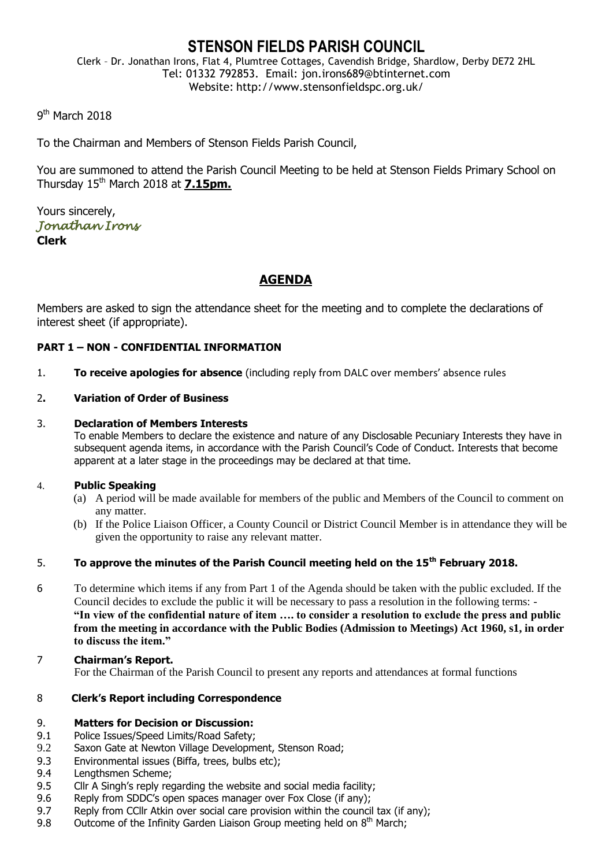# **STENSON FIELDS PARISH COUNCIL**

Clerk – Dr. Jonathan Irons, Flat 4, Plumtree Cottages, Cavendish Bridge, Shardlow, Derby DE72 2HL Tel: 01332 792853. Email: jon.irons689@btinternet.com Website: http://www.stensonfieldspc.org.uk/

## 9<sup>th</sup> March 2018

To the Chairman and Members of Stenson Fields Parish Council,

You are summoned to attend the Parish Council Meeting to be held at Stenson Fields Primary School on Thursday 15th March 2018 at **7.15pm.**

Yours sincerely, *Jonathan Irons*  **Clerk**

## **AGENDA**

Members are asked to sign the attendance sheet for the meeting and to complete the declarations of interest sheet (if appropriate).

## **PART 1 – NON - CONFIDENTIAL INFORMATION**

1. **To receive apologies for absence** (including reply from DALC over members' absence rules

#### 2**. Variation of Order of Business**

#### 3. **Declaration of Members Interests**

To enable Members to declare the existence and nature of any Disclosable Pecuniary Interests they have in subsequent agenda items, in accordance with the Parish Council's Code of Conduct. Interests that become apparent at a later stage in the proceedings may be declared at that time.

#### 4. **Public Speaking**

- (a) A period will be made available for members of the public and Members of the Council to comment on any matter.
- (b) If the Police Liaison Officer, a County Council or District Council Member is in attendance they will be given the opportunity to raise any relevant matter.

## 5. **To approve the minutes of the Parish Council meeting held on the 15th February 2018.**

- 6 To determine which items if any from Part 1 of the Agenda should be taken with the public excluded. If the Council decides to exclude the public it will be necessary to pass a resolution in the following terms: - **"In view of the confidential nature of item …. to consider a resolution to exclude the press and public from the meeting in accordance with the Public Bodies (Admission to Meetings) Act 1960, s1, in order to discuss the item."**
- 7 **Chairman's Report.** For the Chairman of the Parish Council to present any reports and attendances at formal functions

## 8 **Clerk's Report including Correspondence**

#### 9. **Matters for Decision or Discussion:**

- 9.1 Police Issues/Speed Limits/Road Safety;
- 9.2 Saxon Gate at Newton Village Development, Stenson Road;
- 9.3 Environmental issues (Biffa, trees, bulbs etc);
- 9.4 Lengthsmen Scheme;
- 9.5 Cllr A Singh's reply regarding the website and social media facility;
- 9.6 Reply from SDDC's open spaces manager over Fox Close (if any);
- 9.7 Reply from CCllr Atkin over social care provision within the council tax (if any);
- 9.8 Outcome of the Infinity Garden Liaison Group meeting held on  $8<sup>th</sup>$  March;